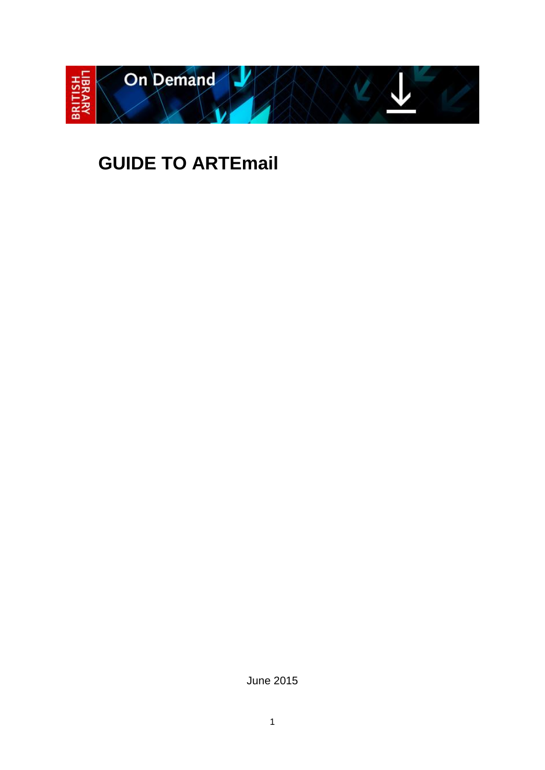

# **GUIDE TO ARTEmail**

June 2015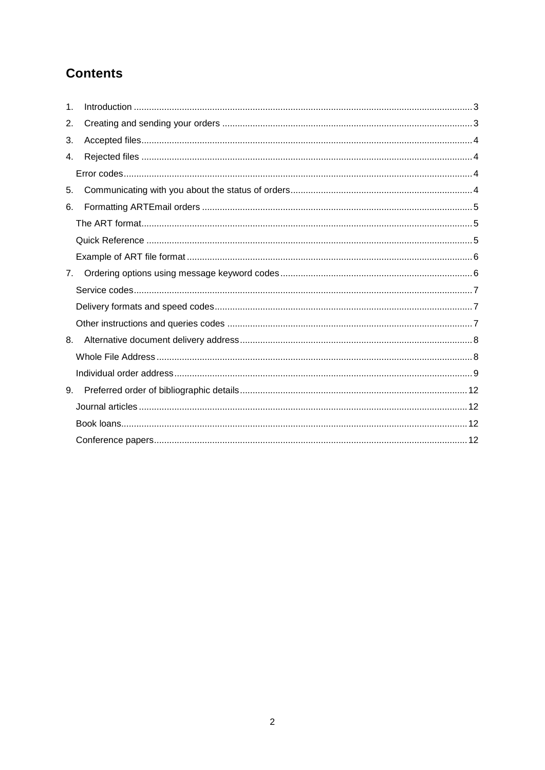# **Contents**

| $\mathbf{1}$ . |  |
|----------------|--|
| 2.             |  |
| 3.             |  |
| 4.             |  |
|                |  |
| 5.             |  |
| 6.             |  |
|                |  |
|                |  |
|                |  |
| 7 <sub>1</sub> |  |
|                |  |
|                |  |
|                |  |
| 8.             |  |
|                |  |
|                |  |
| 9.             |  |
|                |  |
|                |  |
|                |  |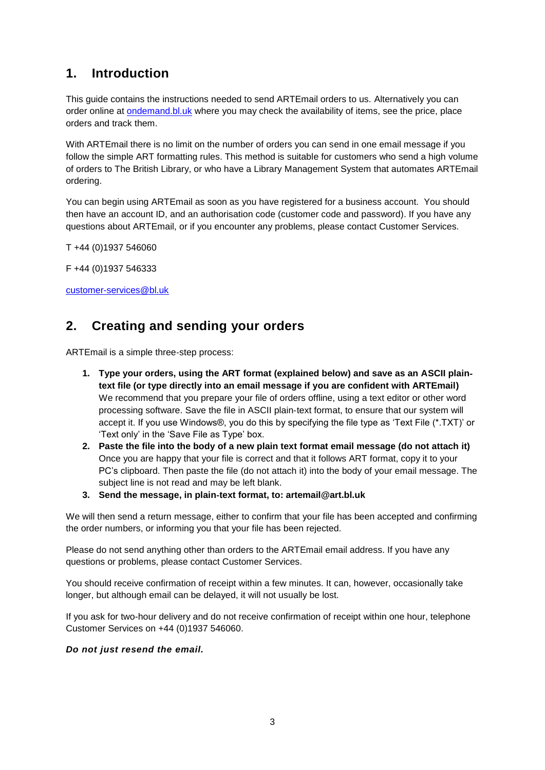# <span id="page-2-0"></span>**1. Introduction**

This guide contains the instructions needed to send ARTEmail orders to us. Alternatively you can order online at [ondemand.bl.uk](http://ondemand.bl.uk/) where you may check the availability of items, see the price, place orders and track them.

With ARTEmail there is no limit on the number of orders you can send in one email message if you follow the simple ART formatting rules. This method is suitable for customers who send a high volume of orders to The British Library, or who have a Library Management System that automates ARTEmail ordering.

You can begin using ARTEmail as soon as you have registered for a business account. You should then have an account ID, and an authorisation code (customer code and password). If you have any questions about ARTEmail, or if you encounter any problems, please contact Customer Services.

T +44 (0)1937 546060

F +44 (0)1937 546333

[customer-services@bl.uk](mailto:customer-services@bl.uk)

# <span id="page-2-1"></span>**2. Creating and sending your orders**

ARTEmail is a simple three‐step process:

- **1. Type your orders, using the ART format (explained below) and save as an ASCII plain**‐ **text file (or type directly into an email message if you are confident with ARTEmail)**  We recommend that you prepare your file of orders offline, using a text editor or other word processing software. Save the file in ASCII plain‐text format, to ensure that our system will accept it. If you use Windows®, you do this by specifying the file type as 'Text File (\*.TXT)' or 'Text only' in the 'Save File as Type' box.
- **2. Paste the file into the body of a new plain text format email message (do not attach it)** Once you are happy that your file is correct and that it follows ART format, copy it to your PC's clipboard. Then paste the file (do not attach it) into the body of your email message. The subject line is not read and may be left blank.
- **3. Send the message, in plain**‐**text format, to: artemail@art.bl.uk**

We will then send a return message, either to confirm that your file has been accepted and confirming the order numbers, or informing you that your file has been rejected.

Please do not send anything other than orders to the ARTEmail email address. If you have any questions or problems, please contact Customer Services.

You should receive confirmation of receipt within a few minutes. It can, however, occasionally take longer, but although email can be delayed, it will not usually be lost.

If you ask for two-hour delivery and do not receive confirmation of receipt within one hour, telephone Customer Services on +44 (0)1937 546060.

#### *Do not just resend the email.*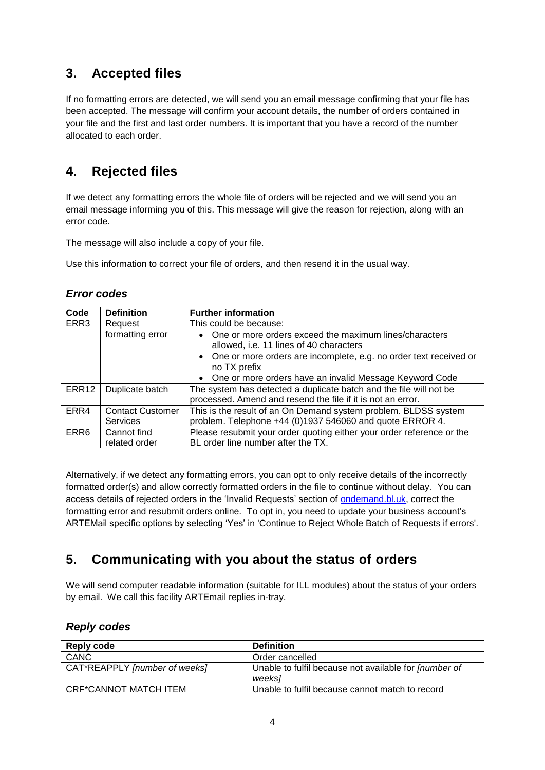# <span id="page-3-0"></span>**3. Accepted files**

If no formatting errors are detected, we will send you an email message confirming that your file has been accepted. The message will confirm your account details, the number of orders contained in your file and the first and last order numbers. It is important that you have a record of the number allocated to each order.

# <span id="page-3-1"></span>**4. Rejected files**

If we detect any formatting errors the whole file of orders will be rejected and we will send you an email message informing you of this. This message will give the reason for rejection, along with an error code.

The message will also include a copy of your file.

Use this information to correct your file of orders, and then resend it in the usual way.

| Code             | <b>Definition</b>       | <b>Further information</b>                                                                        |  |
|------------------|-------------------------|---------------------------------------------------------------------------------------------------|--|
| ERR3             | Request                 | This could be because:                                                                            |  |
|                  | formatting error        | One or more orders exceed the maximum lines/characters<br>allowed, i.e. 11 lines of 40 characters |  |
|                  |                         | • One or more orders are incomplete, e.g. no order text received or<br>no TX prefix               |  |
|                  |                         | • One or more orders have an invalid Message Keyword Code                                         |  |
| ERR12            | Duplicate batch         | The system has detected a duplicate batch and the file will not be                                |  |
|                  |                         | processed. Amend and resend the file if it is not an error.                                       |  |
| ERR4             | <b>Contact Customer</b> | This is the result of an On Demand system problem. BLDSS system                                   |  |
|                  | <b>Services</b>         | problem. Telephone +44 (0)1937 546060 and quote ERROR 4.                                          |  |
| ERR <sub>6</sub> | Cannot find             | Please resubmit your order quoting either your order reference or the                             |  |
|                  | related order           | BL order line number after the TX.                                                                |  |

### <span id="page-3-2"></span>*Error codes*

Alternatively, if we detect any formatting errors, you can opt to only receive details of the incorrectly formatted order(s) and allow correctly formatted orders in the file to continue without delay. You can access details of rejected orders in the 'Invalid Requests' section of [ondemand.bl.uk,](http://ondemand.bl.uk/) correct the formatting error and resubmit orders online. To opt in, you need to update your business account's ARTEMail specific options by selecting 'Yes' in 'Continue to Reject Whole Batch of Requests if errors'.

# <span id="page-3-3"></span>**5. Communicating with you about the status of orders**

We will send computer readable information (suitable for ILL modules) about the status of your orders by email. We call this facility ARTEmail replies in-tray.

## *Reply codes*

| <b>Reply code</b>             | <b>Definition</b>                                                      |
|-------------------------------|------------------------------------------------------------------------|
| CANC                          | Order cancelled                                                        |
| CAT*REAPPLY [number of weeks] | Unable to fulfil because not available for <i>[number of</i><br>weeksl |
| <b>CRE*CANNOT MATCH ITEM</b>  | Unable to fulfil because cannot match to record                        |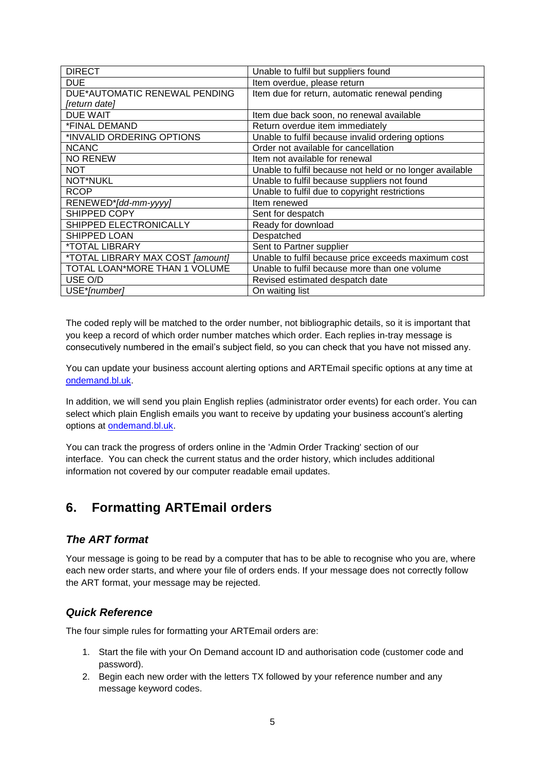| <b>DIRECT</b>                    | Unable to fulfil but suppliers found                     |
|----------------------------------|----------------------------------------------------------|
| <b>DUE</b>                       | Item overdue, please return                              |
| DUE*AUTOMATIC RENEWAL PENDING    | Item due for return, automatic renewal pending           |
| [return date]                    |                                                          |
| <b>DUE WAIT</b>                  | Item due back soon, no renewal available                 |
| *FINAL DEMAND                    | Return overdue item immediately                          |
| *INVALID ORDERING OPTIONS        | Unable to fulfil because invalid ordering options        |
| <b>NCANC</b>                     | Order not available for cancellation                     |
| <b>NO RENEW</b>                  | Item not available for renewal                           |
| NOT                              | Unable to fulfil because not held or no longer available |
| <b>NOT*NUKL</b>                  | Unable to fulfil because suppliers not found             |
| <b>RCOP</b>                      | Unable to fulfil due to copyright restrictions           |
| RENEWED*[dd-mm-yyyy]             | Item renewed                                             |
| SHIPPED COPY                     | Sent for despatch                                        |
| SHIPPED ELECTRONICALLY           | Ready for download                                       |
| SHIPPED LOAN                     | Despatched                                               |
| <i><b>*TOTAL LIBRARY</b></i>     | Sent to Partner supplier                                 |
| *TOTAL LIBRARY MAX COST [amount] | Unable to fulfil because price exceeds maximum cost      |
| TOTAL LOAN*MORE THAN 1 VOLUME    | Unable to fulfil because more than one volume            |
| USE O/D                          | Revised estimated despatch date                          |
| USE*[number]                     | On waiting list                                          |

The coded reply will be matched to the order number, not bibliographic details, so it is important that you keep a record of which order number matches which order. Each replies in-tray message is consecutively numbered in the email's subject field, so you can check that you have not missed any.

You can update your business account alerting options and ARTEmail specific options at any time at [ondemand.bl.uk.](http://ondemand.bl.uk/)

In addition, we will send you plain English replies (administrator order events) for each order. You can select which plain English emails you want to receive by updating your business account's alerting options at [ondemand.bl.uk.](http://ondemand.bl.uk/)

You can track the progress of orders online in the 'Admin Order Tracking' section of our interface. You can check the current status and the order history, which includes additional information not covered by our computer readable email updates.

# <span id="page-4-0"></span>**6. Formatting ARTEmail orders**

### <span id="page-4-1"></span>*The ART format*

Your message is going to be read by a computer that has to be able to recognise who you are, where each new order starts, and where your file of orders ends. If your message does not correctly follow the ART format, your message may be rejected.

### <span id="page-4-2"></span>*Quick Reference*

The four simple rules for formatting your ARTEmail orders are:

- 1. Start the file with your On Demand account ID and authorisation code (customer code and password).
- 2. Begin each new order with the letters TX followed by your reference number and any message keyword codes.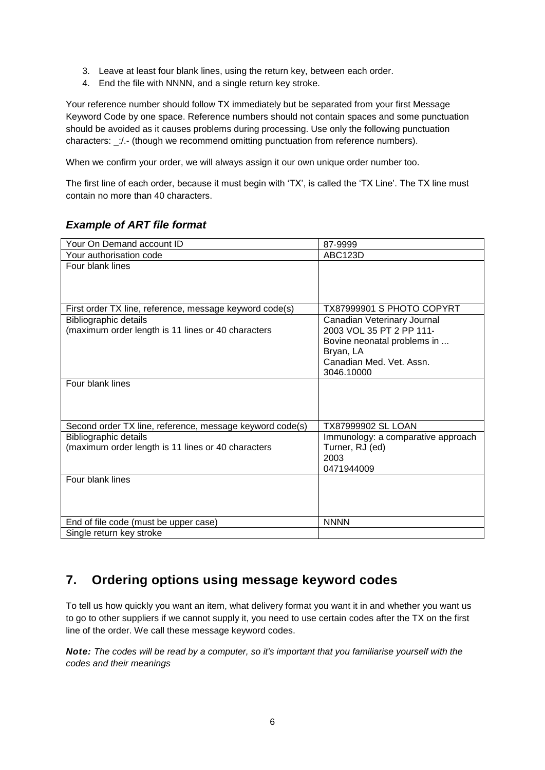- 3. Leave at least four blank lines, using the return key, between each order.
- 4. End the file with NNNN, and a single return key stroke.

Your reference number should follow TX immediately but be separated from your first Message Keyword Code by one space. Reference numbers should not contain spaces and some punctuation should be avoided as it causes problems during processing. Use only the following punctuation characters:  $\therefore$  (though we recommend omitting punctuation from reference numbers).

When we confirm your order, we will always assign it our own unique order number too.

The first line of each order, because it must begin with 'TX', is called the 'TX Line'. The TX line must contain no more than 40 characters.

| Your On Demand account ID                                | 87-9999                            |
|----------------------------------------------------------|------------------------------------|
| Your authorisation code                                  | ABC123D                            |
| Four blank lines                                         |                                    |
|                                                          |                                    |
|                                                          |                                    |
|                                                          |                                    |
| First order TX line, reference, message keyword code(s)  | TX87999901 S PHOTO COPYRT          |
| <b>Bibliographic details</b>                             | Canadian Veterinary Journal        |
| (maximum order length is 11 lines or 40 characters       | 2003 VOL 35 PT 2 PP 111-           |
|                                                          | Bovine neonatal problems in        |
|                                                          | Bryan, LA                          |
|                                                          | Canadian Med. Vet. Assn.           |
|                                                          | 3046.10000                         |
| Four blank lines                                         |                                    |
|                                                          |                                    |
|                                                          |                                    |
|                                                          |                                    |
| Second order TX line, reference, message keyword code(s) | <b>TX87999902 SL LOAN</b>          |
| Bibliographic details                                    | Immunology: a comparative approach |
| (maximum order length is 11 lines or 40 characters       | Turner, RJ (ed)                    |
|                                                          | 2003                               |
|                                                          | 0471944009                         |
| Four blank lines                                         |                                    |
|                                                          |                                    |
|                                                          |                                    |
|                                                          |                                    |
| End of file code (must be upper case)                    | <b>NNNN</b>                        |
| Single return key stroke                                 |                                    |

### <span id="page-5-0"></span>*Example of ART file format*

# <span id="page-5-1"></span>**7. Ordering options using message keyword codes**

To tell us how quickly you want an item, what delivery format you want it in and whether you want us to go to other suppliers if we cannot supply it, you need to use certain codes after the TX on the first line of the order. We call these message keyword codes.

<span id="page-5-2"></span>*Note: The codes will be read by a computer, so it's important that you familiarise yourself with the codes and their meanings*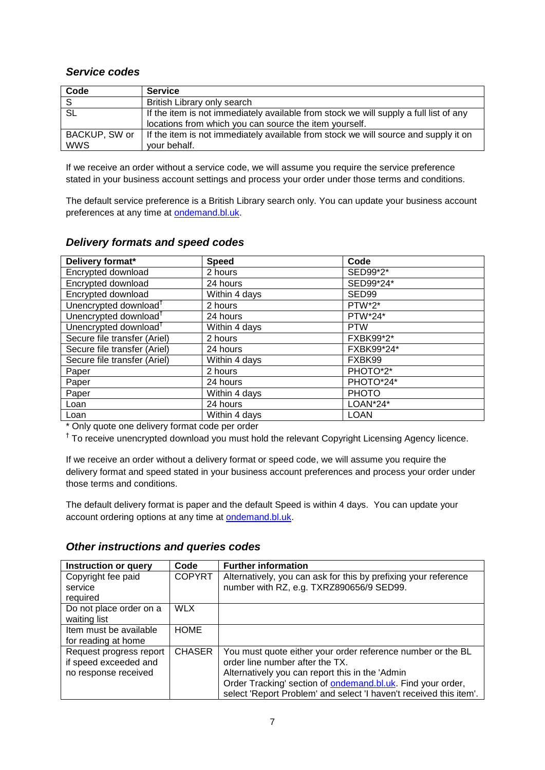#### *Service codes*

| Code                        | <b>Service</b>                                                                                                                                  |
|-----------------------------|-------------------------------------------------------------------------------------------------------------------------------------------------|
| -S                          | British Library only search                                                                                                                     |
| -SL                         | If the item is not immediately available from stock we will supply a full list of any<br>locations from which you can source the item yourself. |
| BACKUP, SW or<br><b>WWS</b> | If the item is not immediately available from stock we will source and supply it on<br>your behalf.                                             |

If we receive an order without a service code, we will assume you require the service preference stated in your business account settings and process your order under those terms and conditions.

The default service preference is a British Library search only. You can update your business account preferences at any time at [ondemand.bl.uk.](http://ondemand.bl.uk/)

| Delivery format*                  | <b>Speed</b>  | Code              |
|-----------------------------------|---------------|-------------------|
| Encrypted download                | 2 hours       | SED99*2*          |
| Encrypted download                | 24 hours      | SED99*24*         |
| Encrypted download                | Within 4 days | SED <sub>99</sub> |
| Unencrypted download <sup>†</sup> | 2 hours       | PTW*2*            |
| Unencrypted download <sup>†</sup> | 24 hours      | PTW*24*           |
| Unencrypted download <sup>†</sup> | Within 4 days | <b>PTW</b>        |
| Secure file transfer (Ariel)      | 2 hours       | FXBK99*2*         |
| Secure file transfer (Ariel)      | 24 hours      | FXBK99*24*        |
| Secure file transfer (Ariel)      | Within 4 days | FXBK99            |
| Paper                             | 2 hours       | PHOTO*2*          |
| Paper                             | 24 hours      | PHOTO*24*         |
| Paper                             | Within 4 days | <b>PHOTO</b>      |
| Loan                              | 24 hours      | LOAN*24*          |
| Loan                              | Within 4 days | <b>LOAN</b>       |

#### <span id="page-6-0"></span>*Delivery formats and speed codes*

\* Only quote one delivery format code per order

<sup>†</sup> To receive unencrypted download you must hold the relevant Copyright Licensing Agency licence.

If we receive an order without a delivery format or speed code, we will assume you require the delivery format and speed stated in your business account preferences and process your order under those terms and conditions.

The default delivery format is paper and the default Speed is within 4 days. You can update your account ordering options at any time at **ondemand.bl.uk.** 

<span id="page-6-1"></span>*Other instructions and queries codes*

| <b>Instruction or query</b> | Code          | <b>Further information</b>                                         |
|-----------------------------|---------------|--------------------------------------------------------------------|
| Copyright fee paid          | <b>COPYRT</b> | Alternatively, you can ask for this by prefixing your reference    |
| service                     |               | number with RZ, e.g. TXRZ890656/9 SED99.                           |
| required                    |               |                                                                    |
| Do not place order on a     | <b>WLX</b>    |                                                                    |
| waiting list                |               |                                                                    |
| Item must be available      | <b>HOME</b>   |                                                                    |
| for reading at home         |               |                                                                    |
| Request progress report     | <b>CHASER</b> | You must quote either your order reference number or the BL        |
| if speed exceeded and       |               | order line number after the TX.                                    |
| no response received        |               | Alternatively you can report this in the 'Admin                    |
|                             |               | Order Tracking' section of ondemand.bl.uk. Find your order,        |
|                             |               | select 'Report Problem' and select 'I haven't received this item'. |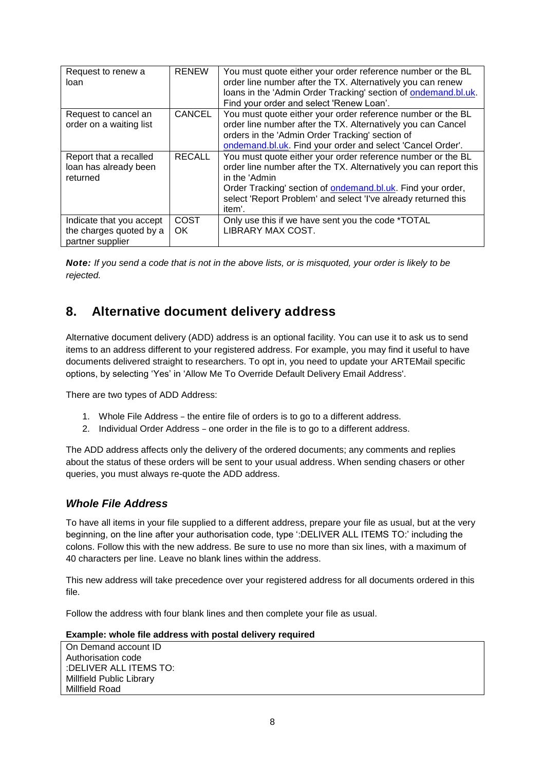| Request to renew a<br>loan                                              | <b>RENEW</b>       | You must quote either your order reference number or the BL<br>order line number after the TX. Alternatively you can renew<br>loans in the 'Admin Order Tracking' section of ondemand.bl.uk.<br>Find your order and select 'Renew Loan'.                                                     |
|-------------------------------------------------------------------------|--------------------|----------------------------------------------------------------------------------------------------------------------------------------------------------------------------------------------------------------------------------------------------------------------------------------------|
| Request to cancel an<br>order on a waiting list                         | <b>CANCEL</b>      | You must quote either your order reference number or the BL<br>order line number after the TX. Alternatively you can Cancel<br>orders in the 'Admin Order Tracking' section of<br>ondemand.bl.uk. Find your order and select 'Cancel Order'.                                                 |
| Report that a recalled<br>loan has already been<br>returned             | <b>RECALL</b>      | You must quote either your order reference number or the BL<br>order line number after the TX. Alternatively you can report this<br>in the 'Admin<br>Order Tracking' section of ondemand.bl.uk. Find your order,<br>select 'Report Problem' and select 'I've already returned this<br>item'. |
| Indicate that you accept<br>the charges quoted by a<br>partner supplier | <b>COST</b><br>OK. | Only use this if we have sent you the code *TOTAL<br>LIBRARY MAX COST.                                                                                                                                                                                                                       |

*Note: If you send a code that is not in the above lists, or is misquoted, your order is likely to be rejected.*

# <span id="page-7-0"></span>**8. Alternative document delivery address**

Alternative document delivery (ADD) address is an optional facility. You can use it to ask us to send items to an address different to your registered address. For example, you may find it useful to have documents delivered straight to researchers. To opt in, you need to update your ARTEMail specific options, by selecting 'Yes' in 'Allow Me To Override Default Delivery Email Address'.

There are two types of ADD Address:

- 1. Whole File Address the entire file of orders is to go to a different address.
- 2. Individual Order Address one order in the file is to go to a different address.

The ADD address affects only the delivery of the ordered documents; any comments and replies about the status of these orders will be sent to your usual address. When sending chasers or other queries, you must always re-quote the ADD address.

### <span id="page-7-1"></span>*Whole File Address*

To have all items in your file supplied to a different address, prepare your file as usual, but at the very beginning, on the line after your authorisation code, type ':DELIVER ALL ITEMS TO:' including the colons. Follow this with the new address. Be sure to use no more than six lines, with a maximum of 40 characters per line. Leave no blank lines within the address.

This new address will take precedence over your registered address for all documents ordered in this file.

Follow the address with four blank lines and then complete your file as usual.

#### **Example: whole file address with postal delivery required**

On Demand account ID Authorisation code :DELIVER ALL ITEMS TO: Millfield Public Library Millfield Road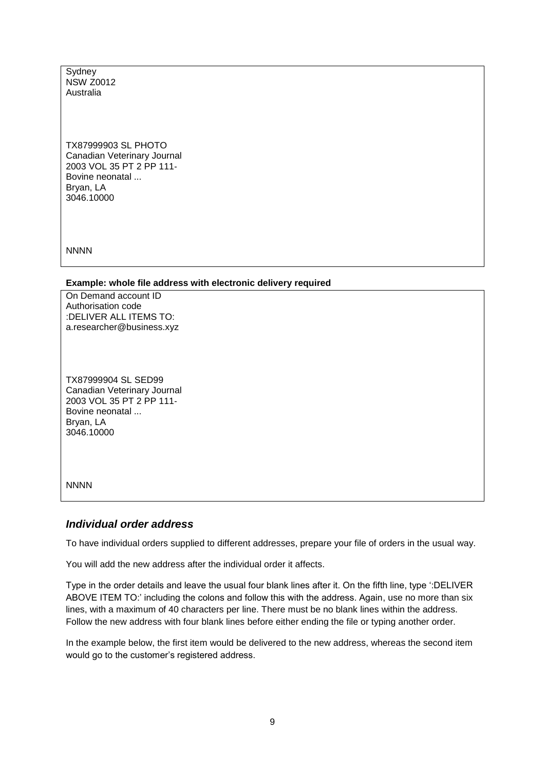Sydney **NSW Z0012** Australia

TX87999903 SL PHOTO Canadian Veterinary Journal 2003 VOL 35 PT 2 PP 111-Bovine neonatal ... Bryan, LA 3046.10000

**NNNN** 

**Example: whole file address with electronic delivery required**

On Demand account ID Authorisation code :DELIVER ALL ITEMS TO: a.researcher@business.xyz

TX87999904 SL SED99 Canadian Veterinary Journal 2003 VOL 35 PT 2 PP 111‐ Bovine neonatal ... Bryan, LA 3046.10000

**NNNN** 

#### <span id="page-8-0"></span>*Individual order address*

To have individual orders supplied to different addresses, prepare your file of orders in the usual way.

You will add the new address after the individual order it affects.

Type in the order details and leave the usual four blank lines after it. On the fifth line, type ':DELIVER ABOVE ITEM TO:' including the colons and follow this with the address. Again, use no more than six lines, with a maximum of 40 characters per line. There must be no blank lines within the address. Follow the new address with four blank lines before either ending the file or typing another order.

In the example below, the first item would be delivered to the new address, whereas the second item would go to the customer's registered address.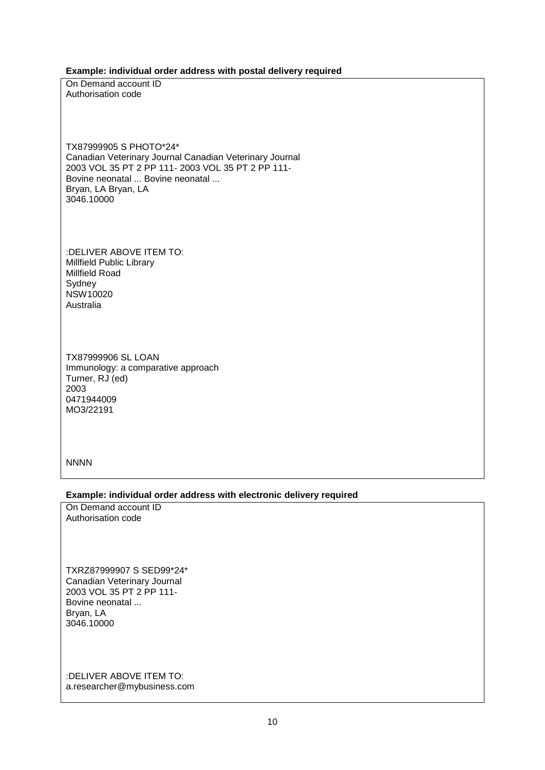#### **Example: individual order address with postal delivery required**

On Demand account ID Authorisation code

TX87999905 S PHOTO\*24\* Canadian Veterinary Journal Canadian Veterinary Journal 2003 VOL 35 PT 2 PP 111- 2003 VOL 35 PT 2 PP 111-Bovine neonatal ... Bovine neonatal ... Bryan, LA Bryan, LA 3046.10000

:DELIVER ABOVE ITEM TO: Millfield Public Library Millfield Road Sydney NSW10020 Australia

TX87999906 SL LOAN Immunology: a comparative approach Turner, RJ (ed) 2003 0471944009 MO3/22191

**NNNN** 

#### **Example: individual order address with electronic delivery required**

On Demand account ID Authorisation code

TXRZ87999907 S SED99\*24\* Canadian Veterinary Journal 2003 VOL 35 PT 2 PP 111-Bovine neonatal ... Bryan, LA 3046.10000

:DELIVER ABOVE ITEM TO: a.researcher@mybusiness.com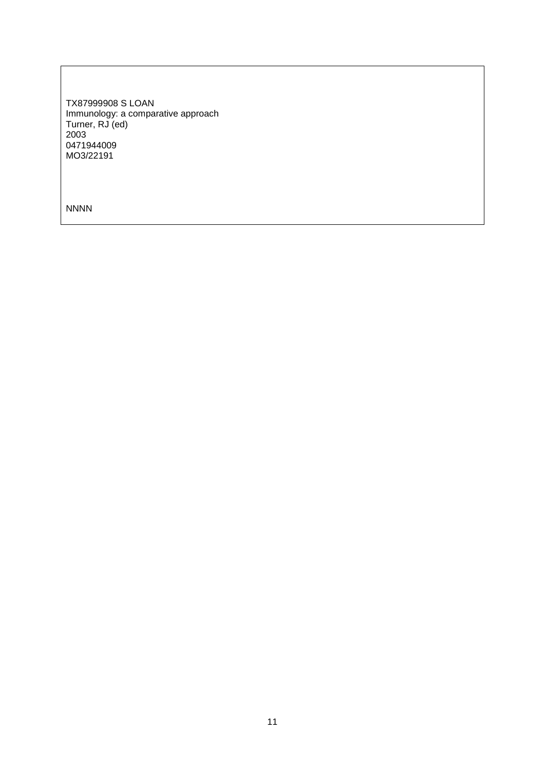TX87999908 S LOAN Immunology: a comparative approach Turner, RJ (ed) 2003 0471944009 MO3/22191

NNNN